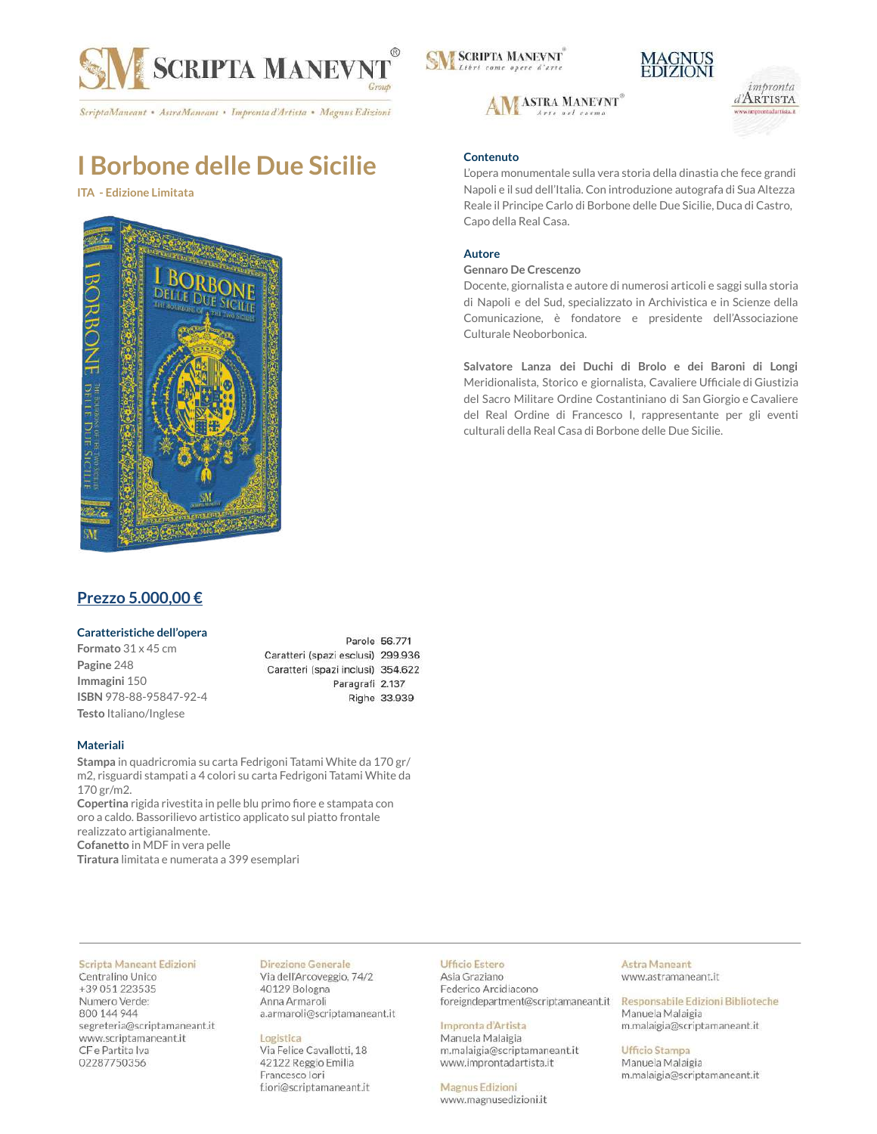

ScriptaManeant • AstraManeant • Impronta d'Artista • Magnus Edizioni

# **I Borbone delle Due Sicilie**

**ITA - Edizione Limitata**



# **Prezzo 5.000,00 €**

#### **Caratteristiche dell'opera**

**Formato** 31 x 45 cm **Pagine** 248 **Immagini** 150 **ISBN** 978-88-95847-92-4 **Testo** Italiano/Inglese

Parole 56.771 Caratteri (spazi esclusi) 299.936 Caratteri (spazi inclusi) 354.622 Paragrafi 2.137 Righe 33.939

#### **Materiali**

**Stampa** in quadricromia su carta Fedrigoni Tatami White da 170 gr/ m2, risguardi stampati a 4 colori su carta Fedrigoni Tatami White da 170 gr/m2. **Copertina** rigida rivestita in pelle blu primo fiore e stampata con oro a caldo. Bassorilievo artistico applicato sul piatto frontale realizzato artigianalmente.

**Cofanetto** in MDF in vera pelle

**Tiratura** limitata e numerata a 399 esemplari

#### Scripta Maneant Edizioni

Centralino Unico +39 051 223535 Numero Verde: 800 144 944 segreteria@scriptamaneant.it www.scriptamaneant.it CF e Partita Iva 02287750356

# Direzione Generale

Via dell'Arcoveggio, 74/2 40129 Bologna Anna Armaroli a.armaroli@scriptamaneant.it

# Logistica

Via Felice Cavallotti, 18 42122 Reggio Emilia Francesco Iori f.iori@scriptamaneant.it **ASTRA MANEVNT**®







## **Contenuto**

**SM SCRIPTA MANEVNT** 

L'opera monumentale sulla vera storia della dinastia che fece grandi Napoli e il sud dell'Italia. Con introduzione autografa di Sua Altezza Reale il Principe Carlo di Borbone delle Due Sicilie, Duca di Castro, Capo della Real Casa.

# **Autore**

## **Gennaro De Crescenzo**

Docente, giornalista e autore di numerosi articoli e saggi sulla storia di Napoli e del Sud, specializzato in Archivistica e in Scienze della Comunicazione, è fondatore e presidente dell'Associazione Culturale Neoborbonica.

**Salvatore Lanza dei Duchi di Brolo e dei Baroni di Longi** Meridionalista, Storico e giornalista, Cavaliere Ufficiale di Giustizia del Sacro Militare Ordine Costantiniano di San Giorgio e Cavaliere del Real Ordine di Francesco I, rappresentante per gli eventi culturali della Real Casa di Borbone delle Due Sicilie.

## **Ufficio Estero**

Asia Graziano Federico Arcidiacono foreigndepartment@scriptamaneant.it

## Impronta d'Artista

Manuela Malaigia m.malaigia@scriptamaneant.it www.improntadartista.it

**Magnus Edizioni** www.magnusedizioni.it

#### **Astra Maneant** www.astramaneant.it

Responsabile Edizioni Biblioteche Manuela Malaigia m.malaigia@scriptamaneant.it

**Ufficio Stampa** Manuela Malaigia m.malaigia@scriptamaneant.it